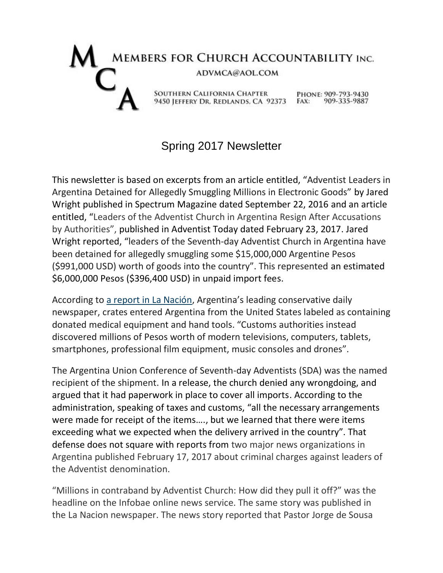## MEMBERS FOR CHURCH ACCOUNTABILITY INC. ADVMCA@AOL.COM SOUTHERN CALIFORNIA CHAPTER PHONE: 909-793-9430 9450 JEFFERY DR. REDLANDS, CA 92373 FAX: 909-335-9887

## Spring 2017 Newsletter

This newsletter is based on excerpts from an article entitled, "Adventist Leaders in Argentina Detained for Allegedly Smuggling Millions in Electronic Goods" by Jared Wright published in Spectrum Magazine dated September 22, 2016 and an article entitled, "Leaders of the Adventist Church in Argentina Resign After Accusations by Authorities", published in Adventist Today dated February 23, 2017. Jared Wright reported, "leaders of the Seventh-day Adventist Church in Argentina have been detained for allegedly smuggling some \$15,000,000 Argentine Pesos (\$991,000 USD) worth of goods into the country". This represented an estimated \$6,000,000 Pesos (\$396,400 USD) in unpaid import fees.

According to [a report in La Nación](http://www.lanacion.com.ar/1940307-ordenan-detener-a-seis-sospechosos-por-el-millonario-contrabando-que-simulaba-ser-una-donacion), Argentina's leading conservative daily newspaper, crates entered Argentina from the United States labeled as containing donated medical equipment and hand tools. "Customs authorities instead discovered millions of Pesos worth of modern televisions, computers, tablets, smartphones, professional film equipment, music consoles and drones".

The Argentina Union Conference of Seventh-day Adventists (SDA) was the named recipient of the shipment. In a release, the church denied any wrongdoing, and argued that it had paperwork in place to cover all imports. According to the administration, speaking of taxes and customs, "all the necessary arrangements were made for receipt of the items…., but we learned that there were items exceeding what we expected when the delivery arrived in the country". That defense does not square with reports from two major news organizations in Argentina published February 17, 2017 about criminal charges against leaders of the Adventist denomination.

"Millions in contraband by Adventist Church: How did they pull it off?" was the headline on the Infobae online news service. The same story was published in the La Nacion newspaper. The news story reported that Pastor Jorge de Sousa